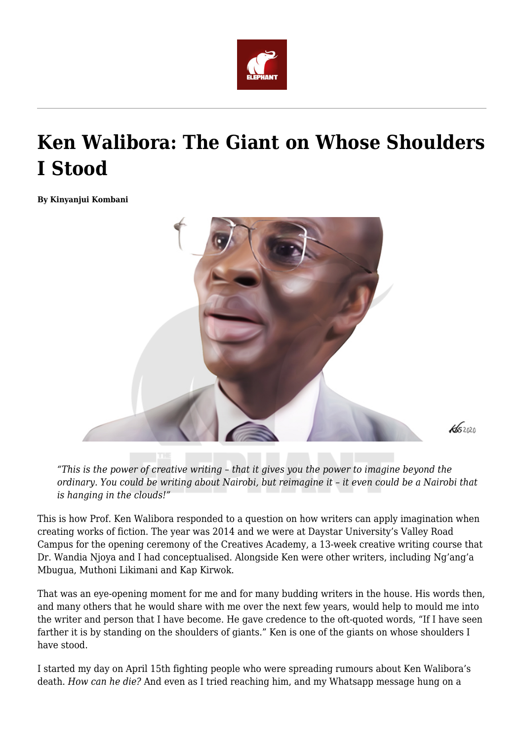

## **Ken Walibora: The Giant on Whose Shoulders I Stood**

**By Kinyanjui Kombani**



*"This is the power of creative writing – that it gives you the power to imagine beyond the ordinary. You could be writing about Nairobi, but reimagine it – it even could be a Nairobi that is hanging in the clouds!"*

This is how Prof. Ken Walibora responded to a question on how writers can apply imagination when creating works of fiction. The year was 2014 and we were at Daystar University's Valley Road Campus for the opening ceremony of the Creatives Academy, a 13-week creative writing course that Dr. Wandia Njoya and I had conceptualised. Alongside Ken were other writers, including Ng'ang'a Mbugua, Muthoni Likimani and Kap Kirwok.

That was an eye-opening moment for me and for many budding writers in the house. His words then, and many others that he would share with me over the next few years, would help to mould me into the writer and person that I have become. He gave credence to the oft-quoted words, "If I have seen farther it is by standing on the shoulders of giants." Ken is one of the giants on whose shoulders I have stood.

I started my day on April 15th fighting people who were spreading rumours about Ken Walibora's death. *How can he die?* And even as I tried reaching him, and my Whatsapp message hung on a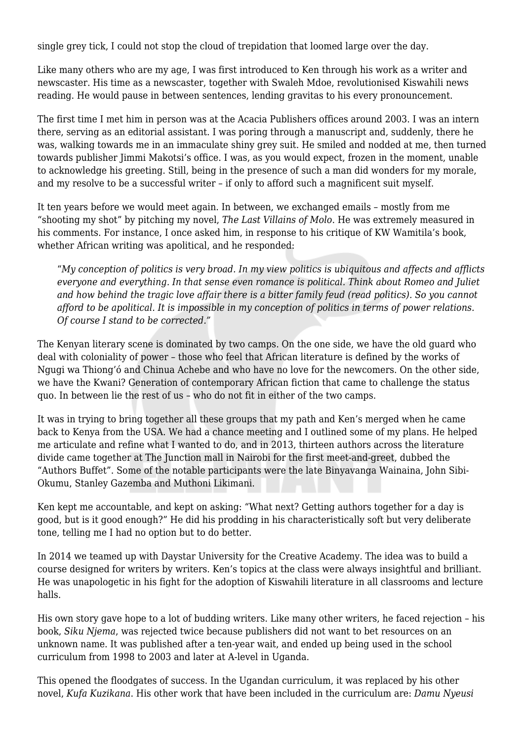single grey tick, I could not stop the cloud of trepidation that loomed large over the day.

Like many others who are my age, I was first introduced to Ken through his work as a writer and newscaster. His time as a newscaster, together with Swaleh Mdoe, revolutionised Kiswahili news reading. He would pause in between sentences, lending gravitas to his every pronouncement.

The first time I met him in person was at the Acacia Publishers offices around 2003. I was an intern there, serving as an editorial assistant. I was poring through a manuscript and, suddenly, there he was, walking towards me in an immaculate shiny grey suit. He smiled and nodded at me, then turned towards publisher Jimmi Makotsi's office. I was, as you would expect, frozen in the moment, unable to acknowledge his greeting. Still, being in the presence of such a man did wonders for my morale, and my resolve to be a successful writer – if only to afford such a magnificent suit myself.

It ten years before we would meet again. In between, we exchanged emails – mostly from me "shooting my shot" by pitching my novel, *The Last Villains of Molo*. He was extremely measured in his comments. For instance, I once asked him, in response to his critique of KW Wamitila's book, whether African writing was apolitical, and he responded:

"*My conception of politics is very broad. In my view politics is ubiquitous and affects and afflicts everyone and everything. In that sense even romance is political. Think about Romeo and Juliet and how behind the tragic love affair there is a bitter family feud (read politics). So you cannot afford to be apolitical. It is impossible in my conception of politics in terms of power relations. Of course I stand to be corrected."*

The Kenyan literary scene is dominated by two camps. On the one side, we have the old guard who deal with coloniality of power – those who feel that African literature is defined by the works of Ngugi wa Thiong'ó and Chinua Achebe and who have no love for the newcomers. On the other side, we have the Kwani? Generation of contemporary African fiction that came to challenge the status quo. In between lie the rest of us – who do not fit in either of the two camps.

It was in trying to bring together all these groups that my path and Ken's merged when he came back to Kenya from the USA. We had a chance meeting and I outlined some of my plans. He helped me articulate and refine what I wanted to do, and in 2013, thirteen authors across the literature divide came together at The Junction mall in Nairobi for the first meet-and-greet, dubbed the "Authors Buffet". Some of the notable participants were the late Binyavanga Wainaina, John Sibi-Okumu, Stanley Gazemba and Muthoni Likimani.

Ken kept me accountable, and kept on asking: "What next? Getting authors together for a day is good, but is it good enough?" He did his prodding in his characteristically soft but very deliberate tone, telling me I had no option but to do better.

In 2014 we teamed up with Daystar University for the Creative Academy. The idea was to build a course designed for writers by writers. Ken's topics at the class were always insightful and brilliant. He was unapologetic in his fight for the adoption of Kiswahili literature in all classrooms and lecture halls.

His own story gave hope to a lot of budding writers. Like many other writers, he faced rejection – his book, *Siku Njema*, was rejected twice because publishers did not want to bet resources on an unknown name. It was published after a ten-year wait, and ended up being used in the school curriculum from 1998 to 2003 and later at A-level in Uganda.

This opened the floodgates of success. In the Ugandan curriculum, it was replaced by his other novel, *Kufa Kuzikana*. His other work that have been included in the curriculum are: *Damu Nyeusi*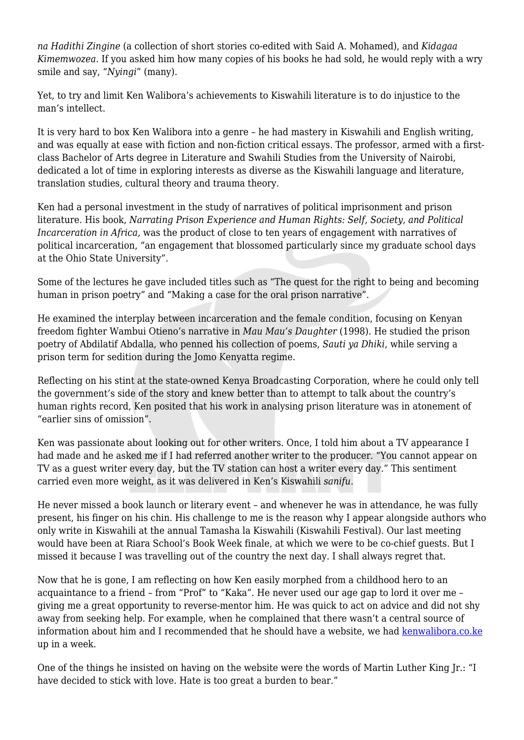*na Hadithi Zingine* (a collection of short stories co-edited with Said A. Mohamed), and *Kidagaa Kimemwozea*. If you asked him how many copies of his books he had sold, he would reply with a wry smile and say, "*Nyingi*" (many).

Yet, to try and limit Ken Walibora's achievements to Kiswahili literature is to do injustice to the man's intellect.

It is very hard to box Ken Walibora into a genre – he had mastery in Kiswahili and English writing, and was equally at ease with fiction and non-fiction critical essays. The professor, armed with a firstclass Bachelor of Arts degree in Literature and Swahili Studies from the University of Nairobi, dedicated a lot of time in exploring interests as diverse as the Kiswahili language and literature, translation studies, cultural theory and trauma theory.

Ken had a personal investment in the study of narratives of political imprisonment and prison literature. His book, *Narrating Prison Experience and Human Rights: Self, Society, and Political Incarceration in Africa,* was the product of close to ten years of engagement with narratives of political incarceration, "an engagement that blossomed particularly since my graduate school days at the Ohio State University".

Some of the lectures he gave included titles such as "The quest for the right to being and becoming human in prison poetry" and "Making a case for the oral prison narrative".

He examined the interplay between incarceration and the female condition, focusing on Kenyan freedom fighter Wambui Otieno's narrative in *Mau Mau's Daughter* (1998). He studied the prison poetry of Abdilatif Abdalla, who penned his collection of poems, *Sauti ya Dhiki*, while serving a prison term for sedition during the Jomo Kenyatta regime.

Reflecting on his stint at the state-owned Kenya Broadcasting Corporation, where he could only tell the government's side of the story and knew better than to attempt to talk about the country's human rights record, Ken posited that his work in analysing prison literature was in atonement of "earlier sins of omission".

Ken was passionate about looking out for other writers. Once, I told him about a TV appearance I had made and he asked me if I had referred another writer to the producer. "You cannot appear on TV as a guest writer every day, but the TV station can host a writer every day." This sentiment carried even more weight, as it was delivered in Ken's Kiswahili *sanifu.*

He never missed a book launch or literary event – and whenever he was in attendance, he was fully present, his finger on his chin. His challenge to me is the reason why I appear alongside authors who only write in Kiswahili at the annual Tamasha la Kiswahili (Kiswahili Festival). Our last meeting would have been at Riara School's Book Week finale, at which we were to be co-chief guests. But I missed it because I was travelling out of the country the next day. I shall always regret that.

Now that he is gone, I am reflecting on how Ken easily morphed from a childhood hero to an acquaintance to a friend – from "Prof" to "Kaka". He never used our age gap to lord it over me – giving me a great opportunity to reverse-mentor him. He was quick to act on advice and did not shy away from seeking help. For example, when he complained that there wasn't a central source of information about him and I recommended that he should have a website, we had [kenwalibora.co.ke](https://www.kenwalibora.co.ke/) up in a week.

One of the things he insisted on having on the website were the words of Martin Luther King Jr.: "I have decided to stick with love. Hate is too great a burden to bear."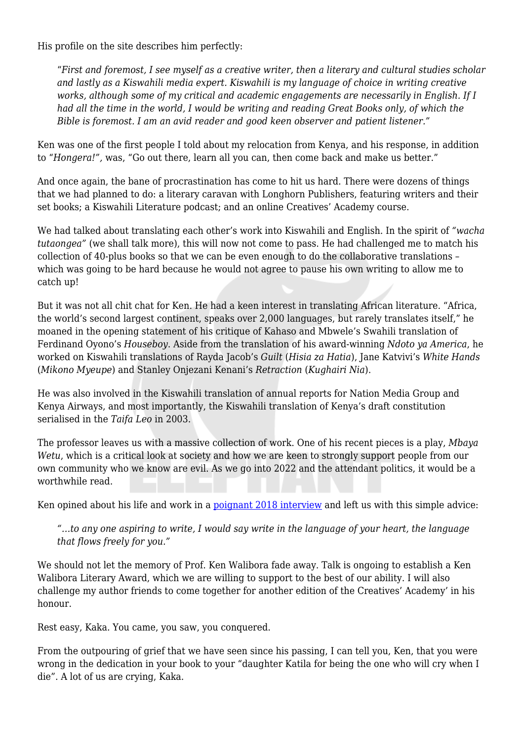His profile on the site describes him perfectly:

"*First and foremost, I see myself as a creative writer, then a literary and cultural studies scholar and lastly as a Kiswahili media expert. Kiswahili is my language of choice in writing creative works, although some of my critical and academic engagements are necessarily in English. If I had all the time in the world, I would be writing and reading Great Books only, of which the Bible is foremost. I am an avid reader and good keen observer and patient listener."*

Ken was one of the first people I told about my relocation from Kenya, and his response, in addition to "*Hongera!",* was, "Go out there, learn all you can, then come back and make us better."

And once again, the bane of procrastination has come to hit us hard. There were dozens of things that we had planned to do: a literary caravan with Longhorn Publishers, featuring writers and their set books; a Kiswahili Literature podcast; and an online Creatives' Academy course.

We had talked about translating each other's work into Kiswahili and English. In the spirit of *"wacha tutaongea"* (we shall talk more), this will now not come to pass. He had challenged me to match his collection of 40-plus books so that we can be even enough to do the collaborative translations – which was going to be hard because he would not agree to pause his own writing to allow me to catch up!

But it was not all chit chat for Ken. He had a keen interest in translating African literature. "Africa, the world's second largest continent, speaks over 2,000 languages, but rarely translates itself," he moaned in the opening statement of his critique of Kahaso and Mbwele's Swahili translation of Ferdinand Oyono's *Houseboy*. Aside from the translation of his award-winning *Ndoto ya America*, he worked on Kiswahili translations of Rayda Jacob's *Guilt* (*Hisia za Hatia*), Jane Katvivi's *White Hands* (*Mikono Myeupe*) and Stanley Onjezani Kenani's *Retraction* (*Kughairi Nia*).

He was also involved in the Kiswahili translation of annual reports for Nation Media Group and Kenya Airways, and most importantly, the Kiswahili translation of Kenya's draft constitution serialised in the *Taifa Leo* in 2003.

The professor leaves us with a massive collection of work. One of his recent pieces is a play, *Mbaya Wetu*, which is a critical look at society and how we are keen to strongly support people from our own community who we know are evil. As we go into 2022 and the attendant politics, it would be a worthwhile read.

Ken opined about his life and work in a [poignant 2018 interview](https://meharalit.wordpress.com/2018/08/27/african-literature-through-the-lens-of-ken-walibora-an-interview/) and left us with this simple advice:

*"…to any one aspiring to write, I would say write in the language of your heart, the language that flows freely for you."*

We should not let the memory of Prof. Ken Walibora fade away. Talk is ongoing to establish a Ken Walibora Literary Award, which we are willing to support to the best of our ability. I will also challenge my author friends to come together for another edition of the Creatives' Academy' in his honour.

Rest easy, Kaka. You came, you saw, you conquered.

From the outpouring of grief that we have seen since his passing, I can tell you, Ken, that you were wrong in the dedication in your book to your "daughter Katila for being the one who will cry when I die". A lot of us are crying, Kaka.